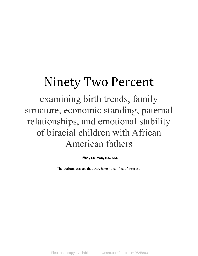# Ninety Two Percent

examining birth trends, family structure, economic standing, paternal relationships, and emotional stability of biracial children with African American fathers

**Tiffany Calloway B.S. J.M.**

The authors declare that they have no conflict of interest.

Electronic copy available at: http://ssrn.com/abstract=2625893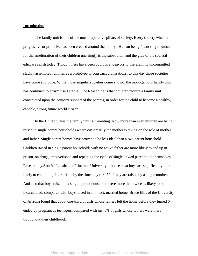### **Introduction**

The family unit is one of the most imperative pillars of society. Every society whether progressive or primitive has been erected around the family. Human beings' working in unison for the amelioration of their children unerringly is the substratum and the glue of the societal edict we relish today. Though there have been copious endeavors to use eremitic uncommitted slackly assembled families as a prototype to construct civilizations, to this day those societies have come and gone. While those singular societies come and go, the monogamous family unit has continued to affirm itself stable. The Reasoning is that children require a family unit constructed upon the conjoint support of the parents, in order for the child to become a healthy, capable, strong future world citizen.

In the United States the family unit is crumbling. Now more than ever children are being raised in single parent households where customarily the mother is taking on the role of mother and father. Single parent homes have proven to be less ideal than a two parent household. Children raised in single parent households with no active father are more likely to end up in prison, on drugs, impoverished and repeating the cycle of single unwed parenthood themselves. Research by Sara McLanahan at Princeton University proposes that boys are significantly more likely to end up in jail or prison by the time they turn 30 if they are raised by a single mother. And also that boys raised in a single-parent household were more than twice as likely to be incarcerated, compared with boys raised in an intact, married home. Bruce Ellis of the University of Arizona found that about one-third of girls whose fathers left the home before they turned 6 ended up pregnant as teenagers, compared with just 5% of girls whose fathers were there throughout their childhood.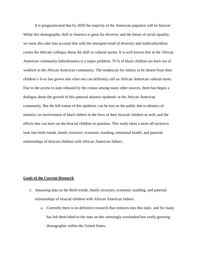It is prognosticated that by 2050 the majority of the American populace will be biracial. While this demographic shift in America is great for diversity and the future of racial equality, we must also take into account that with the emergent trend of diversity and multiculturalism comes the delicate colloquy about the shift in cultural norms. It is well known that in the African American community fatherlessness is a major problem, 70 % of black children are born out of wedlock in the African American community. The tendencies for fathers to be absent from their children's lives has grown into what one can definitely call an African American cultural norm. Due to the access to stats released by the census among many other sources, there has begun a dialogue about the growth of this paternal absence epidemic in the African American community. But the full extent of this epidemic can be lost on the public due to absence of statistics on involvement of black fathers in the lives of their biracial children as well, and the effects that can have on the biracial children in question. This study takes a more all-inclusive look into birth trends, family structure, economic standing, emotional health, and paternal relationships of biracial children with African American fathers.

#### **Goals of the Current Research**

- 1. Amassing data on the Birth trends, family structure, economic standing, and paternal relationships of biracial children with African American fathers.
	- a. Currently there is no definitive research that ventures into this topic, and for many has left them blind to the stats on this seemingly overlooked but vastly growing demographic within the United States.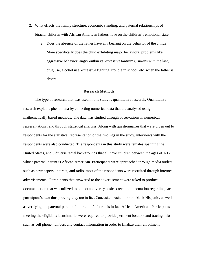- 2. What effects the family structure, economic standing, and paternal relationships of biracial children with African American fathers have on the children's emotional state
	- a. Does the absence of the father have any bearing on the behavior of the child? More specifically does the child exhibiting major behavioral problems like aggressive behavior, angry outbursts, excessive tantrums, run-ins with the law, drug use, alcohol use, excessive fighting, trouble in school, etc. when the father is absent.

## **Research Methods**

The type of research that was used in this study is quantitative research. Quantitative research explains phenomena by collecting numerical data that are analyzed using mathematically based methods. The data was studied through observations in numerical representations, and through statistical analysis. Along with questionnaires that were given out to respondents for the statistical representation of the findings in the study, interviews with the respondents were also conducted. The respondents in this study were females spanning the United States, and 3 diverse racial backgrounds that all have children between the ages of 1-17 whose paternal parent is African American. Participants were approached through media outlets such as newspapers, internet, and radio, most of the respondents were recruited through internet advertisements. Participants that answered to the advertisement were asked to produce documentation that was utilized to collect and verify basic screening information regarding each participant's race thus proving they are in fact Caucasian, Asian, or non-black Hispanic, as well as verifying the paternal parent of their child/children is in fact African American. Participants meeting the eligibility benchmarks were required to provide pertinent locators and tracing info such as cell phone numbers and contact information in order to finalize their enrollment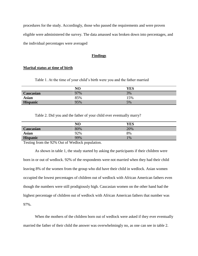procedures for the study. Accordingly, those who passed the requirements and were proven eligible were administered the survey. The data amassed was broken down into percentages, and the individual percentages were averaged

### **Findings**

# **Marital status at time of birth**

Table 1. At the time of your child's birth were you and the father married

|                  | NO  | YES |
|------------------|-----|-----|
| <b>Caucasian</b> | 97% | 3%  |
| <b>Asian</b>     | 85% | 5%  |
| <b>Hispanic</b>  | 95% | 5%  |

Table 2. Did you and the father of your child ever eventually marry?

|                  | NO  | YES           |
|------------------|-----|---------------|
| <b>Caucasian</b> | 80% | 20%           |
| <b>Asian</b>     | 92% | 8%            |
| <b>Hispanic</b>  | 99% | $\frac{0}{0}$ |

Testing from the 92% Out of Wedlock population.

As shown in table 1, the study started by asking the participants if their children were born in or out of wedlock. 92% of the respondents were not married when they had their child leaving 8% of the women from the group who did have their child in wedlock. Asian women occupied the lowest percentages of children out of wedlock with African American fathers even though the numbers were still prodigiously high. Caucasian women on the other hand had the highest percentage of children out of wedlock with African American fathers that number was 97%.

When the mothers of the children born out of wedlock were asked if they ever eventually married the father of their child the answer was overwhelmingly no, as one can see in table 2.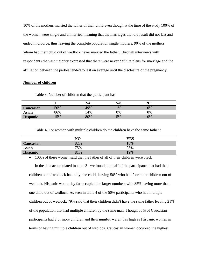10% of the mothers married the father of their child even though at the time of the study 100% of the women were single and unmarried meaning that the marriages that did result did not last and ended in divorce, thus leaving the complete population single mothers. 90% of the mothers whom had their child out of wedlock never married the father. Through interviews with respondents the vast majority expressed that there were never definite plans for marriage and the affiliation between the parties tended to last on average until the disclosure of the pregnancy.

#### **Number of children**

|                 |     | 2-4 | 5-8   | Կ⊥ |  |
|-----------------|-----|-----|-------|----|--|
| Caucasian       | 50% | 49% | $1\%$ | 9% |  |
| Asian           | 86% | 4%  | 0%    | 0% |  |
| <b>Hispanic</b> | 5%  | 80% | 5%    | 9% |  |

Table 3. Number of children that the participant has

Table 4. For women with multiple children do the children have the same father?

|                  | N <sub>O</sub> | YES |
|------------------|----------------|-----|
| <b>Caucasian</b> | 82%            | 18% |
| <b>Asian</b>     | 75%            | 25% |
| <b>Hispanic</b>  | 81%            | 19% |

• 100% of these women said that the father of all of their children were black

In the data accumulated in table 3 we found that half of the participants that had their children out of wedlock had only one child, leaving 50% who had 2 or more children out of wedlock. Hispanic women by far occupied the larger numbers with 85% having more than one child out of wedlock. As seen in table 4 of the 50% participants who had multiple children out of wedlock, 79% said that their children didn't have the same father leaving 21% of the population that had multiple children by the same man. Though 50% of Caucasian participants had 2 or more children and their number weren't as high as Hispanic women in terms of having multiple children out of wedlock, Caucasian women occupied the highest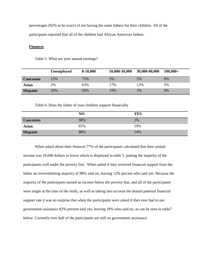percentages (82% to be exact) of not having the same fathers for their children. All of the participants reported that all of the children had African American fathers.

#### **Finances**

Table 5. What are your annual earnings?

|                  | <b>Unemployed</b> | $0-10,000$ | 10,000-30,000 | 30,000-80,000 | $100,000+$ |
|------------------|-------------------|------------|---------------|---------------|------------|
| <b>Caucasian</b> | 15%               | 75%        | 5%            | 5%            | 0%         |
| Asian            | 2%                | 63%        | 17%           | 13%           | 5%         |
| <b>Hispanic</b>  | 20%               | 58%        | 19%           | 3%            | 0%         |

Table 6. Does the father of your children support financially

|                 | N <sub>O</sub> | <b>YES</b> |
|-----------------|----------------|------------|
| Caucasian       | 98%            | 2%         |
| <b>Asian</b>    | 81%            | 19%        |
| <b>Hispanic</b> | 86%            | 14%        |

When asked about their finances 77% of the participants calculated that their annual income was 10,000 dollars or lower which is displayed in table 5, putting the majority of the participants well under the poverty line. When asked if they received financial support from the father an overwhelming majority of 88% said no, leaving 12% percent who said yes. Because the majority of the participants earned an income below the poverty line, and all of the participants were single at the time of the study, as well as taking into account the dismal paternal financial support rate it was no surprise that when the participants were asked if they ever had to use government assistance 82% percent said yes, leaving 18% who said no, as can be seen in table7 below. Currently over half of the participants are still on government assistance.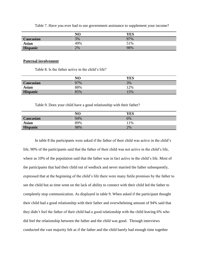Table 7. Have you ever had to use government assistance to supplement your income?

|                  | NO  | YES |
|------------------|-----|-----|
| <b>Caucasian</b> | 3%  | 97% |
| <b>Asian</b>     | 49% | 51% |
| <b>Hispanic</b>  | 2%  | 98% |

#### **Paternal involvement**

Table 8. Is the father active in the child's life?

|                 | NO  | YES |
|-----------------|-----|-----|
| Caucasian       | 97% | 3%  |
| <b>Asian</b>    | 88% | 12% |
| <b>Hispanic</b> | 85% | 15% |

Table 9. Does your child have a good relationship with their father?

|                 | NO  | YES |
|-----------------|-----|-----|
| Caucasian       | 94% | 6%  |
| <b>Asian</b>    | 89% | 11% |
| <b>Hispanic</b> | 98% | 2%  |

In table 8 the participants were asked if the father of their child was active in the child's life, 90% of the participants said that the father of their child was not active in the child's life, where as 10% of the population said that the father was in fact active in the child's life. Most of the participants that had their child out of wedlock and never married the father subsequently, expressed that at the beginning of the child's life there were many futile promises by the father to see the child but as time went on the lack of ability to connect with their child led the father to completely stop communication. As displayed in table 9. When asked if the participant thought their child had a good relationship with their father and overwhelming amount of 94% said that they didn't feel the father of their child had a good relationship with the child leaving 6% who did feel the relationship between the father and the child was good. Through interviews conducted the vast majority felt as if the father and the child barely had enough time together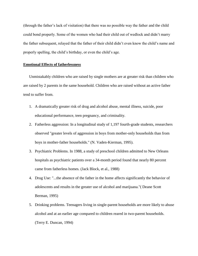(through the father's lack of visitation) that there was no possible way the father and the child could bond properly. Some of the women who had their child out of wedlock and didn't marry the father subsequent, relayed that the father of their child didn't even know the child's name and properly spelling, the child's birthday, or even the child's age.

# **Emotional Effects of fatherlessness**

Unmistakably children who are raised by single mothers are at greater risk than children who are raised by 2 parents in the same household. Children who are raised without an active father tend to suffer from.

- 1. A dramatically greater risk of drug and alcohol abuse, mental illness, suicide, poor educational performance, teen pregnancy, and criminality.
- 2. Fatherless aggression: In a longitudinal study of 1,197 fourth-grade students, researchers observed "greater levels of aggression in boys from mother-only households than from boys in mother-father households." (N. Vaden-Kierman, 1995).
- 3. Psychiatric Problems. In 1988, a study of preschool children admitted to New Orleans hospitals as psychiatric patients over a 34-month period found that nearly 80 percent came from fatherless homes. (Jack Block, et al., 1988)
- 4. Drug Use: "...the absence of the father in the home affects significantly the behavior of adolescents and results in the greater use of alcohol and marijuana."( Deane Scott Berman, 1995)
- 5. Drinking problems. Teenagers living in single-parent households are more likely to abuse alcohol and at an earlier age compared to children reared in two-parent households. (Terry E. Duncan, 1994)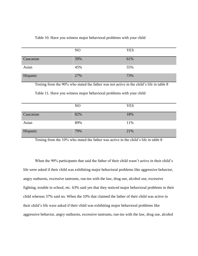### Table 10. Have you witness major behavioral problems with your child

|           | NO  | <b>YES</b> |
|-----------|-----|------------|
| Caucasian | 39% | 61%        |
| Asian     | 45% | 55%        |
| Hispanic  | 27% | 73%        |

Testing from the 90% who stated the father was not active in the child's life in table 8

|           | NO  | <b>YES</b> |
|-----------|-----|------------|
| Caucasian | 82% | 18%        |
| Asian     | 89% | 11%        |
| Hispanic  | 79% | 21%        |

Table 11. Have you witness major behavioral problems with your child

Testing from the 10% who stated the father was active in the child's life in table 8

When the 90% participants that said the father of their child wasn't active in their child's life were asked if their child was exhibiting major behavioral problems like aggressive behavior, angry outbursts, excessive tantrums, run-ins with the law, drug use, alcohol use, excessive fighting, trouble in school, etc. 63% said yes that they noticed major behavioral problems in their child whereas 37% said no. When the 10% that claimed the father of their child was active in their child's life were asked if their child was exhibiting major behavioral problems like aggressive behavior, angry outbursts, excessive tantrums, run-ins with the law, drug use, alcohol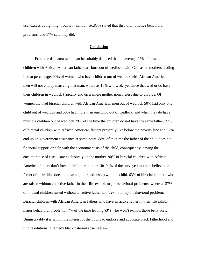use, excessive fighting, trouble in school, etc.83% stated that they didn't notice behavioral problems, and 17% said they did.

#### **Conclusion**

From the data amassed it can be suitably deduced that on average 92% of biracial children with African American fathers are born out of wedlock, with Caucasian mothers leading in that percentage. 90% of women who have children out of wedlock with African American men will not end up marrying that man, where as 10% will wed, yet those that wed or do have their children in wedlock typically end up a single mother nonetheless due to divorce. Of women that had biracial children with African American men out of wedlock 50% had only one child out of wedlock and 50% had more than one child out of wedlock, and when they do have multiple children out of wedlock 79% of the time the children do not have the same father. 77% of biracial children with African American fathers presently live below the poverty line and 82% end up on government assistance at some point. 88% of the time the father of the child does not financial support or help with the economic costs of the child, consequently leaving the encumbrance of fiscal care exclusively on the mother. 90% of biracial children with African American fathers don't have their father in their life. 94% of the surveyed mothers believe the father of their child doesn't have a good relationship with the child. 63% of biracial children who are raised without an active father in their life exhibit major behavioral problems, where as 37% of biracial children raised without an active father don't exhibit major behavioral problem. Biracial children with African American fathers who have an active father in their life exhibit major behavioral problems 17% of the time leaving 83% who won't exhibit those behaviors. Unmistakably it is within the interest of the public to endorse and advocate black fatherhood and find resolutions to remedy black paternal absenteeism.